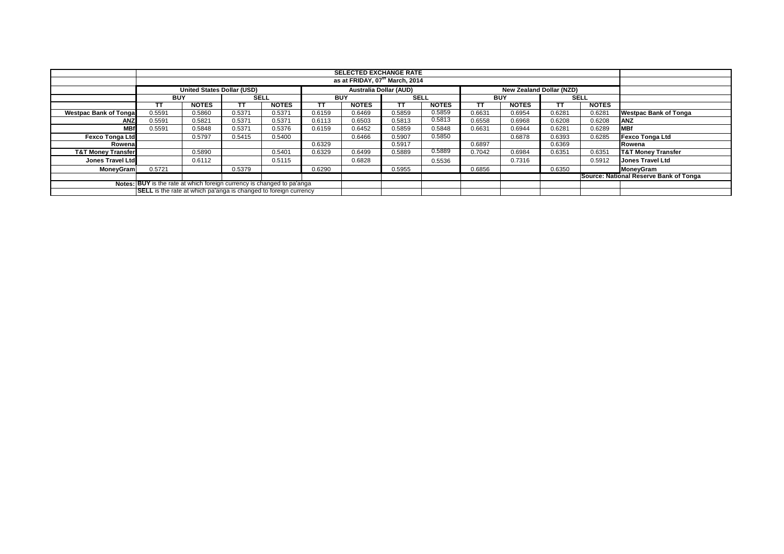|                               |                                                                         |                                   |             |              |            | <b>SELECTED EXCHANGE RATE</b>              |                        |              |            |                                 |        |              |                                        |
|-------------------------------|-------------------------------------------------------------------------|-----------------------------------|-------------|--------------|------------|--------------------------------------------|------------------------|--------------|------------|---------------------------------|--------|--------------|----------------------------------------|
|                               |                                                                         |                                   |             |              |            | as at FRIDAY, 07 <sup>th</sup> March, 2014 |                        |              |            |                                 |        |              |                                        |
|                               |                                                                         | <b>United States Dollar (USD)</b> |             |              |            |                                            | Australia Dollar (AUD) |              |            | <b>New Zealand Dollar (NZD)</b> |        |              |                                        |
|                               | <b>BUY</b>                                                              |                                   | <b>SELL</b> |              | <b>BUY</b> |                                            | SELL                   |              | <b>BUY</b> |                                 |        | <b>SELL</b>  |                                        |
|                               | TΤ                                                                      | <b>NOTES</b>                      | TT          | <b>NOTES</b> | тт         | <b>NOTES</b>                               | тт                     | <b>NOTES</b> | ТT         | <b>NOTES</b>                    |        | <b>NOTES</b> |                                        |
| <b>Westpac Bank of Tongal</b> | 0.5591                                                                  | 0.5860                            | 0.5371      | 0.5371       | 0.6159     | 0.6469                                     | 0.5859                 | 0.5859       | 0.6631     | 0.6954                          | 0.6281 | 0.6281       | <b>Westpac Bank of Tonga</b>           |
| <b>ANZ</b>                    | 0.5591                                                                  | 0.5821                            | 0.5371      | 0.5371       | 0.6113     | 0.6503                                     | 0.5813                 | 0.5813       | 0.6558     | 0.6968                          | 0.6208 | 0.6208       | <b>ANZ</b>                             |
| <b>MBf</b>                    | 0.5591                                                                  | 0.5848                            | 0.5371      | 0.5376       | 0.6159     | 0.6452                                     | 0.5859                 | 0.5848       | 0.6631     | 0.6944                          | 0.6281 | 0.6289       | <b>IMBf</b>                            |
| <b>Fexco Tonga Ltd</b>        |                                                                         | 0.5797                            | 0.5415      | 0.5400       |            | 0.6466                                     | 0.5907                 | 0.5850       |            | 0.6878                          | 0.6393 | 0.6285       | <b>Fexco Tonga Ltd</b>                 |
| Rowena                        |                                                                         |                                   |             |              | 0.6329     |                                            | 0.5917                 |              | 0.6897     |                                 | 0.6369 |              | Rowena                                 |
| <b>T&amp;T Money Transfer</b> |                                                                         | 0.5890                            |             | 0.5401       | 0.6329     | 0.6499                                     | 0.5889                 | 0.5889       | 0.7042     | 0.6984                          | 0.6351 | 0.6351       | <b>T&amp;T Money Transfer</b>          |
| <b>Jones Travel Ltd</b>       |                                                                         | 0.6112                            |             | 0.5115       |            | 0.6828                                     |                        | 0.5536       |            | 0.7316                          |        | 0.5912       | <b>Jones Travel Ltd</b>                |
| <b>MoneyGram</b>              | 0.5721                                                                  |                                   | 0.5379      |              | 0.6290     |                                            | 0.5955                 |              | 0.6856     |                                 | 0.6350 |              | <b>MoneyGram</b>                       |
|                               |                                                                         |                                   |             |              |            |                                            |                        |              |            |                                 |        |              | Source: National Reserve Bank of Tonga |
|                               | Notes: BUY is the rate at which foreign currency is changed to pa'anga  |                                   |             |              |            |                                            |                        |              |            |                                 |        |              |                                        |
|                               | <b>SELL</b> is the rate at which pa'anga is changed to foreign currency |                                   |             |              |            |                                            |                        |              |            |                                 |        |              |                                        |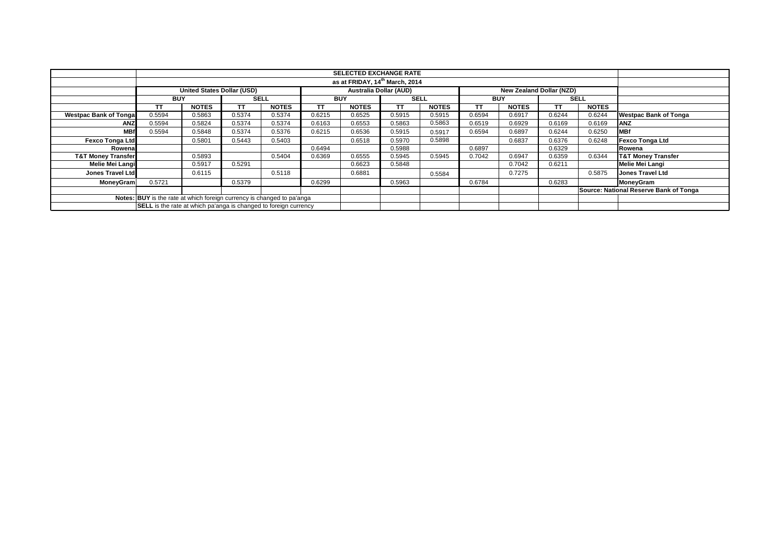|                               |                                                                                         |              |             |              |            | <b>SELECTED EXCHANGE RATE</b>              |             |              |            |              |           |              |                                        |  |  |  |  |  |  |
|-------------------------------|-----------------------------------------------------------------------------------------|--------------|-------------|--------------|------------|--------------------------------------------|-------------|--------------|------------|--------------|-----------|--------------|----------------------------------------|--|--|--|--|--|--|
|                               |                                                                                         |              |             |              |            | as at FRIDAY, 14 <sup>th</sup> March, 2014 |             |              |            |              |           |              |                                        |  |  |  |  |  |  |
|                               | United States Dollar (USD)<br>Australia Dollar (AUD)<br><b>New Zealand Dollar (NZD)</b> |              |             |              |            |                                            |             |              |            |              |           |              |                                        |  |  |  |  |  |  |
|                               | <b>BUY</b>                                                                              |              | <b>SELL</b> |              | <b>BUY</b> |                                            | <b>SELL</b> |              | <b>BUY</b> |              |           | <b>SELL</b>  |                                        |  |  |  |  |  |  |
|                               | TT                                                                                      | <b>NOTES</b> | TT.         | <b>NOTES</b> | TT         | <b>NOTES</b>                               | TT          | <b>NOTES</b> | ТT         | <b>NOTES</b> | <b>TT</b> | <b>NOTES</b> |                                        |  |  |  |  |  |  |
| <b>Westpac Bank of Tongal</b> | 0.5594                                                                                  | 0.5863       | 0.5374      | 0.5374       | 0.6215     | 0.6525                                     | 0.5915      | 0.5915       | 0.6594     | 0.6917       | 0.6244    | 0.6244       | <b>Westpac Bank of Tonga</b>           |  |  |  |  |  |  |
| <b>ANZ</b>                    | 0.5594                                                                                  | 0.5824       | 0.5374      | 0.5374       | 0.6163     | 0.6553                                     | 0.5863      | 0.5863       | 0.6519     | 0.6929       | 0.6169    | 0.6169       | <b>ANZ</b>                             |  |  |  |  |  |  |
| <b>MBf</b>                    | 0.5594                                                                                  | 0.5848       | 0.5374      | 0.5376       | 0.6215     | 0.6536                                     | 0.5915      | 0.5917       | 0.6594     | 0.6897       | 0.6244    | 0.6250       | <b>IMBf</b>                            |  |  |  |  |  |  |
| <b>Fexco Tonga Ltd</b>        |                                                                                         | 0.5801       | 0.5443      | 0.5403       |            | 0.6518                                     | 0.5970      | 0.5898       |            | 0.6837       | 0.6376    | 0.6248       | <b>Fexco Tonga Ltd</b>                 |  |  |  |  |  |  |
| Rowena                        |                                                                                         |              |             |              | 0.6494     |                                            | 0.5988      |              | 0.6897     |              | 0.6329    |              | Rowena                                 |  |  |  |  |  |  |
| <b>T&amp;T Money Transfer</b> |                                                                                         | 0.5893       |             | 0.5404       | 0.6369     | 0.6555                                     | 0.5945      | 0.5945       | 0.7042     | 0.6947       | 0.6359    | 0.6344       | <b>T&amp;T Money Transfer</b>          |  |  |  |  |  |  |
| Melie Mei Langi               |                                                                                         | 0.5917       | 0.5291      |              |            | 0.6623                                     | 0.5848      |              |            | 0.7042       | 0.6211    |              | <b>Melie Mei Langi</b>                 |  |  |  |  |  |  |
| <b>Jones Travel Ltd</b>       |                                                                                         | 0.6115       |             | 0.5118       |            | 0.6881                                     |             | 0.5584       |            | 0.7275       |           | 0.5875       | <b>Jones Travel Ltd</b>                |  |  |  |  |  |  |
| <b>MoneyGram</b>              | 0.5721                                                                                  |              | 0.5379      |              | 0.6299     |                                            | 0.5963      |              | 0.6784     |              | 0.6283    |              | MoneyGram                              |  |  |  |  |  |  |
|                               |                                                                                         |              |             |              |            |                                            |             |              |            |              |           |              | Source: National Reserve Bank of Tonga |  |  |  |  |  |  |
|                               | Notes: BUY is the rate at which foreign currency is changed to pa'anga                  |              |             |              |            |                                            |             |              |            |              |           |              |                                        |  |  |  |  |  |  |
|                               | <b>SELL</b> is the rate at which pa'anga is changed to foreign currency                 |              |             |              |            |                                            |             |              |            |              |           |              |                                        |  |  |  |  |  |  |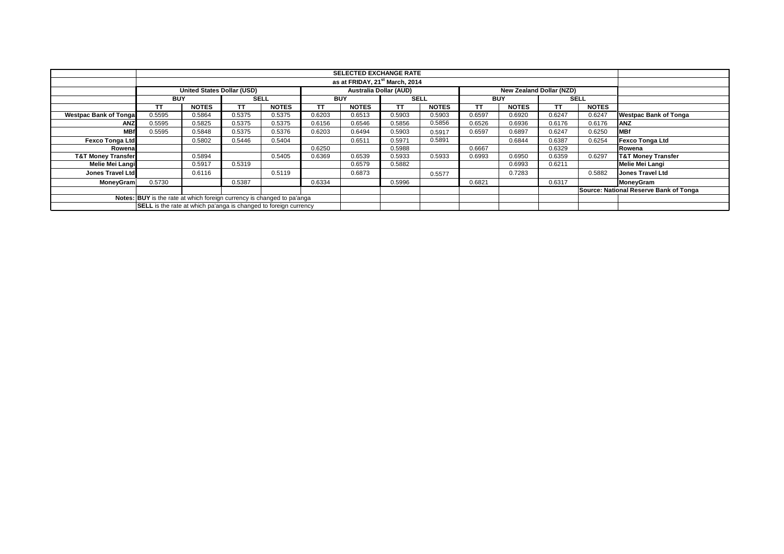|                               |                                                                        |                                                                                         |             |              |            | <b>SELECTED EXCHANGE RATE</b>              |             |              |            |              |           |              |                                        |
|-------------------------------|------------------------------------------------------------------------|-----------------------------------------------------------------------------------------|-------------|--------------|------------|--------------------------------------------|-------------|--------------|------------|--------------|-----------|--------------|----------------------------------------|
|                               |                                                                        |                                                                                         |             |              |            | as at FRIDAY, 21 <sup>st</sup> March, 2014 |             |              |            |              |           |              |                                        |
|                               |                                                                        | Australia Dollar (AUD)<br>United States Dollar (USD)<br><b>New Zealand Dollar (NZD)</b> |             |              |            |                                            |             |              |            |              |           |              |                                        |
|                               | <b>BUY</b>                                                             |                                                                                         | <b>SELL</b> |              | <b>BUY</b> |                                            | <b>SELL</b> |              | <b>BUY</b> |              |           | <b>SELL</b>  |                                        |
|                               | TT                                                                     | <b>NOTES</b>                                                                            | TT.         | <b>NOTES</b> | TT         | <b>NOTES</b>                               | TT          | <b>NOTES</b> | ТT         | <b>NOTES</b> | <b>TT</b> | <b>NOTES</b> |                                        |
| <b>Westpac Bank of Tongal</b> | 0.5595                                                                 | 0.5864                                                                                  | 0.5375      | 0.5375       | 0.6203     | 0.6513                                     | 0.5903      | 0.5903       | 0.6597     | 0.6920       | 0.6247    | 0.6247       | <b>Westpac Bank of Tonga</b>           |
| <b>ANZ</b>                    | 0.5595                                                                 | 0.5825                                                                                  | 0.5375      | 0.5375       | 0.6156     | 0.6546                                     | 0.5856      | 0.5856       | 0.6526     | 0.6936       | 0.6176    | 0.6176       | <b>ANZ</b>                             |
| <b>MBf</b>                    | 0.5595                                                                 | 0.5848                                                                                  | 0.5375      | 0.5376       | 0.6203     | 0.6494                                     | 0.5903      | 0.5917       | 0.6597     | 0.6897       | 0.6247    | 0.6250       | <b>IMBf</b>                            |
| <b>Fexco Tonga Ltd</b>        |                                                                        | 0.5802                                                                                  | 0.5446      | 0.5404       |            | 0.6511                                     | 0.5971      | 0.5891       |            | 0.6844       | 0.6387    | 0.6254       | <b>Fexco Tonga Ltd</b>                 |
| Rowena                        |                                                                        |                                                                                         |             |              | 0.6250     |                                            | 0.5988      |              | 0.6667     |              | 0.6329    |              | Rowena                                 |
| <b>T&amp;T Money Transfer</b> |                                                                        | 0.5894                                                                                  |             | 0.5405       | 0.6369     | 0.6539                                     | 0.5933      | 0.5933       | 0.6993     | 0.6950       | 0.6359    | 0.6297       | <b>T&amp;T Money Transfer</b>          |
| Melie Mei Langi               |                                                                        | 0.5917                                                                                  | 0.5319      |              |            | 0.6579                                     | 0.5882      |              |            | 0.6993       | 0.6211    |              | <b>Melie Mei Langi</b>                 |
| <b>Jones Travel Ltd</b>       |                                                                        | 0.6116                                                                                  |             | 0.5119       |            | 0.6873                                     |             | 0.5577       |            | 0.7283       |           | 0.5882       | <b>Jones Travel Ltd</b>                |
| <b>MoneyGram</b>              | 0.5730                                                                 |                                                                                         | 0.5387      |              | 0.6334     |                                            | 0.5996      |              | 0.6821     |              | 0.6317    |              | MoneyGram                              |
|                               |                                                                        |                                                                                         |             |              |            |                                            |             |              |            |              |           |              | Source: National Reserve Bank of Tonga |
|                               | Notes: BUY is the rate at which foreign currency is changed to pa'anga |                                                                                         |             |              |            |                                            |             |              |            |              |           |              |                                        |
|                               | SELL is the rate at which pa'anga is changed to foreign currency       |                                                                                         |             |              |            |                                            |             |              |            |              |           |              |                                        |